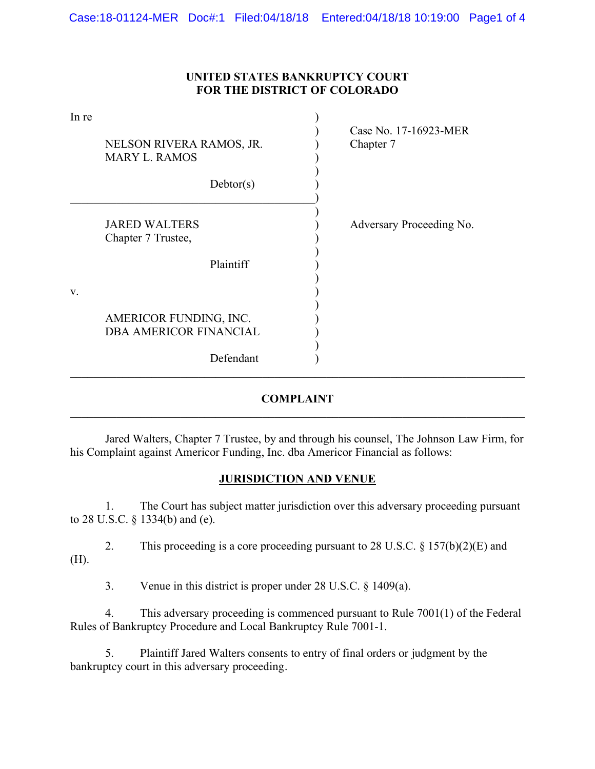#### **UNITED STATES BANKRUPTCY COURT FOR THE DISTRICT OF COLORADO**

| In re | NELSON RIVERA RAMOS, JR.<br><b>MARY L. RAMOS</b><br>Dektor(s)        | Case No. 17-16923-MER<br>Chapter 7 |
|-------|----------------------------------------------------------------------|------------------------------------|
|       | <b>JARED WALTERS</b><br>Chapter 7 Trustee,<br>Plaintiff              | Adversary Proceeding No.           |
| V.    | AMERICOR FUNDING, INC.<br><b>DBA AMERICOR FINANCIAL</b><br>Defendant |                                    |

# **COMPLAINT**  \_\_\_\_\_\_\_\_\_\_\_\_\_\_\_\_\_\_\_\_\_\_\_\_\_\_\_\_\_\_\_\_\_\_\_\_\_\_\_\_\_\_\_\_\_\_\_\_\_\_\_\_\_\_\_\_\_\_\_\_\_\_\_\_\_\_\_\_\_\_\_\_\_\_\_\_\_\_

 Jared Walters, Chapter 7 Trustee, by and through his counsel, The Johnson Law Firm, for his Complaint against Americor Funding, Inc. dba Americor Financial as follows:

# **JURISDICTION AND VENUE**

1. The Court has subject matter jurisdiction over this adversary proceeding pursuant to 28 U.S.C. § 1334(b) and (e).

2. This proceeding is a core proceeding pursuant to 28 U.S.C. § 157(b)(2)(E) and (H).

3. Venue in this district is proper under 28 U.S.C. § 1409(a).

4. This adversary proceeding is commenced pursuant to Rule 7001(1) of the Federal Rules of Bankruptcy Procedure and Local Bankruptcy Rule 7001-1.

5. Plaintiff Jared Walters consents to entry of final orders or judgment by the bankruptcy court in this adversary proceeding.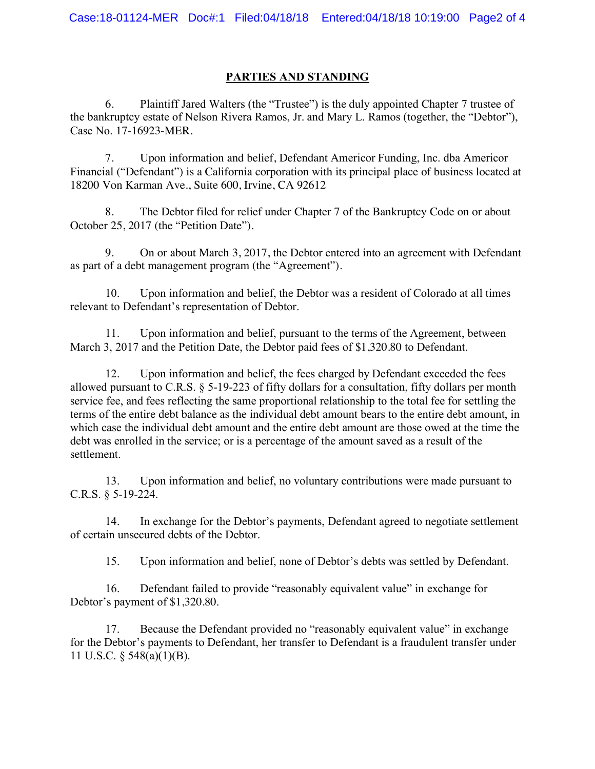#### **PARTIES AND STANDING**

6. Plaintiff Jared Walters (the "Trustee") is the duly appointed Chapter 7 trustee of the bankruptcy estate of Nelson Rivera Ramos, Jr. and Mary L. Ramos (together, the "Debtor"), Case No. 17-16923-MER.

7. Upon information and belief, Defendant Americor Funding, Inc. dba Americor Financial ("Defendant") is a California corporation with its principal place of business located at 18200 Von Karman Ave., Suite 600, Irvine, CA 92612

8. The Debtor filed for relief under Chapter 7 of the Bankruptcy Code on or about October 25, 2017 (the "Petition Date").

9. On or about March 3, 2017, the Debtor entered into an agreement with Defendant as part of a debt management program (the "Agreement").

10. Upon information and belief, the Debtor was a resident of Colorado at all times relevant to Defendant's representation of Debtor.

11. Upon information and belief, pursuant to the terms of the Agreement, between March 3, 2017 and the Petition Date, the Debtor paid fees of \$1,320.80 to Defendant.

12. Upon information and belief, the fees charged by Defendant exceeded the fees allowed pursuant to C.R.S. § 5-19-223 of fifty dollars for a consultation, fifty dollars per month service fee, and fees reflecting the same proportional relationship to the total fee for settling the terms of the entire debt balance as the individual debt amount bears to the entire debt amount, in which case the individual debt amount and the entire debt amount are those owed at the time the debt was enrolled in the service; or is a percentage of the amount saved as a result of the settlement.

13. Upon information and belief, no voluntary contributions were made pursuant to C.R.S. § 5-19-224.

14. In exchange for the Debtor's payments, Defendant agreed to negotiate settlement of certain unsecured debts of the Debtor.

15. Upon information and belief, none of Debtor's debts was settled by Defendant.

16. Defendant failed to provide "reasonably equivalent value" in exchange for Debtor's payment of \$1,320.80.

17. Because the Defendant provided no "reasonably equivalent value" in exchange for the Debtor's payments to Defendant, her transfer to Defendant is a fraudulent transfer under 11 U.S.C. § 548(a)(1)(B).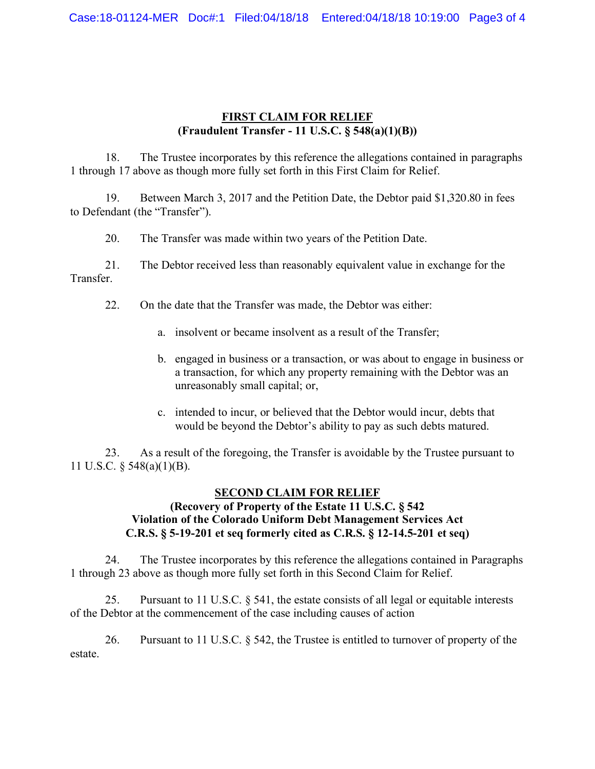# **FIRST CLAIM FOR RELIEF (Fraudulent Transfer - 11 U.S.C. § 548(a)(1)(B))**

18. The Trustee incorporates by this reference the allegations contained in paragraphs 1 through 17 above as though more fully set forth in this First Claim for Relief.

19. Between March 3, 2017 and the Petition Date, the Debtor paid \$1,320.80 in fees to Defendant (the "Transfer").

20. The Transfer was made within two years of the Petition Date.

21. The Debtor received less than reasonably equivalent value in exchange for the Transfer.

22. On the date that the Transfer was made, the Debtor was either:

- a. insolvent or became insolvent as a result of the Transfer;
- b. engaged in business or a transaction, or was about to engage in business or a transaction, for which any property remaining with the Debtor was an unreasonably small capital; or,
- c. intended to incur, or believed that the Debtor would incur, debts that would be beyond the Debtor's ability to pay as such debts matured.

23. As a result of the foregoing, the Transfer is avoidable by the Trustee pursuant to 11 U.S.C. § 548(a)(1)(B).

# **SECOND CLAIM FOR RELIEF**

## **(Recovery of Property of the Estate 11 U.S.C. § 542 Violation of the Colorado Uniform Debt Management Services Act C.R.S. § 5-19-201 et seq formerly cited as C.R.S. § 12-14.5-201 et seq)**

24. The Trustee incorporates by this reference the allegations contained in Paragraphs 1 through 23 above as though more fully set forth in this Second Claim for Relief.

25. Pursuant to 11 U.S.C. § 541, the estate consists of all legal or equitable interests of the Debtor at the commencement of the case including causes of action

26. Pursuant to 11 U.S.C. § 542, the Trustee is entitled to turnover of property of the estate.